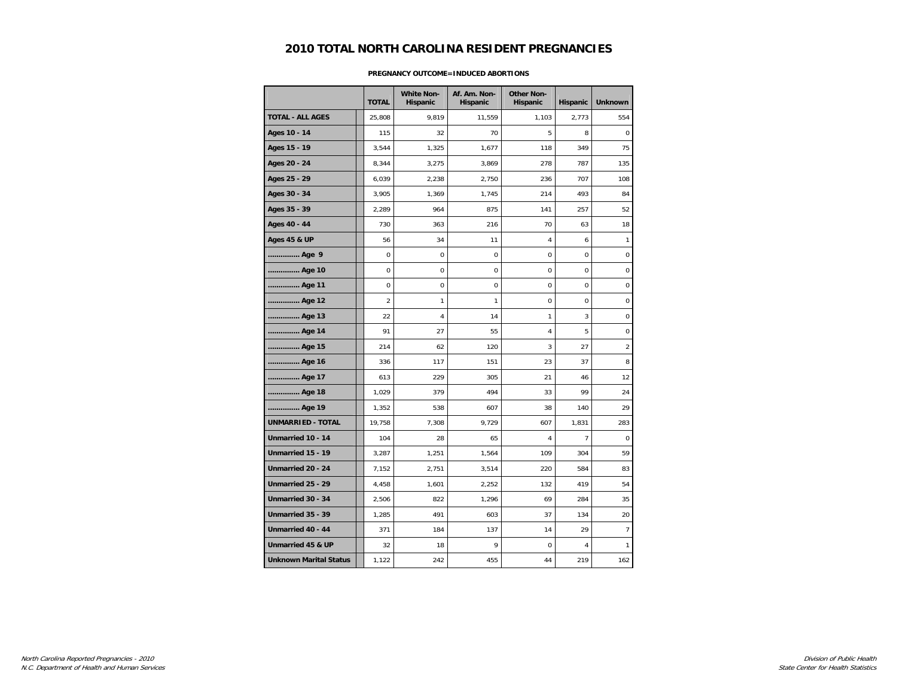# **2010 TOTAL NORTH CAROLINA RESIDENT PREGNANCIES**

|                               | <b>TOTAL</b>   | <b>White Non-</b><br>Hispanic | Af. Am. Non-<br>Hispanic | <b>Other Non-</b><br>Hispanic | Hispanic       | <b>Unknown</b>   |
|-------------------------------|----------------|-------------------------------|--------------------------|-------------------------------|----------------|------------------|
| <b>TOTAL - ALL AGES</b>       | 25,808         | 9,819                         | 11,559                   | 1,103                         | 2,773          | 554              |
| Ages 10 - 14                  | 115            | 32                            | 70                       | 5                             | 8              | 0                |
| Ages 15 - 19                  | 3,544          | 1,325                         | 1,677                    | 118                           | 349            | 75               |
| Ages 20 - 24                  | 8,344          | 3,275                         | 3,869                    | 278                           | 787            | 135              |
| Ages 25 - 29                  | 6,039          | 2,238                         | 2,750                    | 236                           | 707            | 108              |
| Ages 30 - 34                  | 3,905          | 1,369                         | 1,745                    | 214                           | 493            | 84               |
| Ages 35 - 39                  | 2,289          | 964                           | 875                      | 141                           | 257            | 52               |
| Ages 40 - 44                  | 730            | 363                           | 216                      | 70                            | 63             | 18               |
| <b>Ages 45 &amp; UP</b>       | 56             | 34                            | 11                       | 4                             | 6              | $\mathbf{1}$     |
| Age 9                         | $\pmb{0}$      | $\mathsf 0$                   | 0                        | $\mathbf 0$                   | 0              | $\pmb{0}$        |
| Age 10                        | $\mathbf 0$    | 0                             | 0                        | $\mathbf 0$                   | 0              | $\pmb{0}$        |
| Age 11                        | 0              | 0                             | 0                        | 0                             | 0              | 0                |
| Age 12                        | $\overline{2}$ | 1                             | 1                        | $\mathbf 0$                   | 0              | 0                |
| Age 13                        | 22             | 4                             | 14                       | $\mathbf{1}$                  | 3              | 0                |
| Age 14                        | 91             | 27                            | 55                       | 4                             | 5              | 0                |
| Age 15                        | 214            | 62                            | 120                      | 3                             | 27             | $\overline{2}$   |
| Age 16                        | 336            | 117                           | 151                      | 23                            | 37             | 8                |
| Age 17                        | 613            | 229                           | 305                      | 21                            | 46             | 12               |
| Age 18                        | 1,029          | 379                           | 494                      | 33                            | 99             | 24               |
| Age 19                        | 1,352          | 538                           | 607                      | 38                            | 140            | 29               |
| <b>UNMARRIED - TOTAL</b>      | 19,758         | 7,308                         | 9,729                    | 607                           | 1,831          | 283              |
| Unmarried 10 - 14             | 104            | 28                            | 65                       | 4                             | $\overline{7}$ | $\boldsymbol{0}$ |
| Unmarried 15 - 19             | 3,287          | 1,251                         | 1,564                    | 109                           | 304            | 59               |
| Unmarried 20 - 24             | 7,152          | 2,751                         | 3,514                    | 220                           | 584            | 83               |
| Unmarried 25 - 29             | 4,458          | 1,601                         | 2,252                    | 132                           | 419            | 54               |
| Unmarried 30 - 34             | 2,506          | 822                           | 1,296                    | 69                            | 284            | 35               |
| Unmarried 35 - 39             | 1,285          | 491                           | 603                      | 37                            | 134            | 20               |
| Unmarried 40 - 44             | 371            | 184                           | 137                      | 14                            | 29             | $\overline{7}$   |
| Unmarried 45 & UP             | 32             | 18                            | 9                        | 0                             | 4              | 1                |
| <b>Unknown Marital Status</b> | 1,122          | 242                           | 455                      | 44                            | 219            | 162              |

### **PREGNANCY OUTCOME=INDUCED ABORTIONS**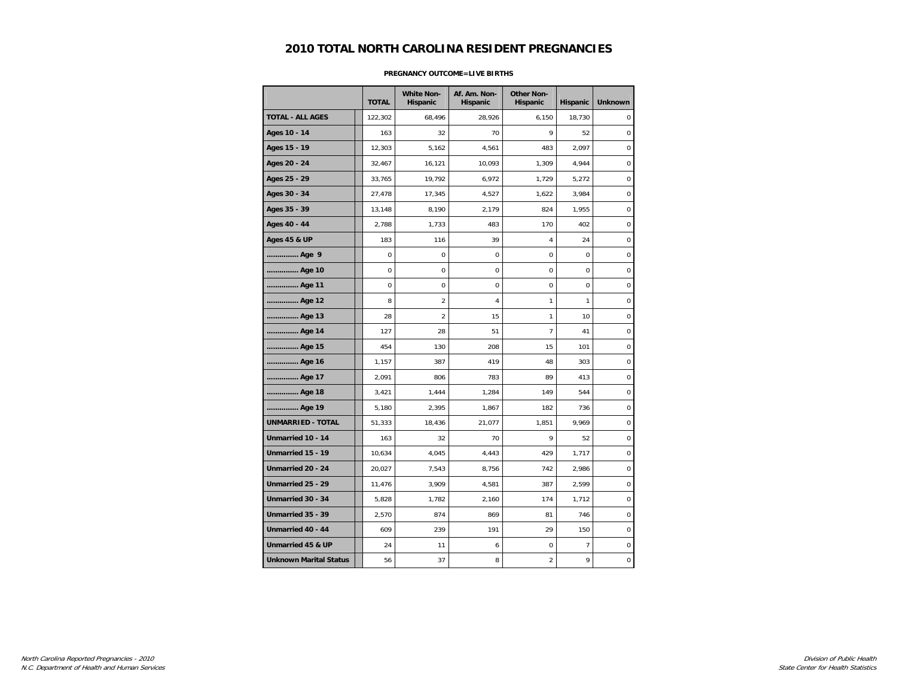# **2010 TOTAL NORTH CAROLINA RESIDENT PREGNANCIES**

|                               | <b>TOTAL</b> | <b>White Non-</b><br>Hispanic | Af. Am. Non-<br>Hispanic | <b>Other Non-</b><br><b>Hispanic</b> | Hispanic       | <b>Unknown</b> |
|-------------------------------|--------------|-------------------------------|--------------------------|--------------------------------------|----------------|----------------|
| <b>TOTAL - ALL AGES</b>       | 122,302      | 68,496                        | 28,926                   | 6,150                                | 18,730         | $\mathbf 0$    |
| Ages 10 - 14                  | 163          | 32                            | 70                       | 9                                    | 52             | 0              |
| Ages 15 - 19                  | 12,303       | 5,162                         | 4,561                    | 483                                  | 2,097          | 0              |
| Ages 20 - 24                  | 32,467       | 16,121                        | 10,093                   | 1,309                                | 4,944          | 0              |
| Ages 25 - 29                  | 33,765       | 19,792                        | 6,972                    | 1,729                                | 5,272          | 0              |
| Ages 30 - 34                  | 27,478       | 17,345                        | 4,527                    | 1,622                                | 3,984          | $\mathbf 0$    |
| Ages 35 - 39                  | 13,148       | 8,190                         | 2,179                    | 824                                  | 1,955          | $\mathbf 0$    |
| Ages 40 - 44                  | 2,788        | 1,733                         | 483                      | 170                                  | 402            | $\mathbf 0$    |
| <b>Ages 45 &amp; UP</b>       | 183          | 116                           | 39                       | 4                                    | 24             | $\mathbf 0$    |
| Age 9                         | $\mathbf 0$  | 0                             | $\mathbf 0$              | 0                                    | $\mathbf 0$    | $\pmb{0}$      |
| Age 10                        | $\mathbf 0$  | 0                             | 0                        | 0                                    | $\mathbf 0$    | $\mathbf 0$    |
| Age 11                        | 0            | 0                             | 0                        | 0                                    | $\mathbf 0$    | 0              |
| Age 12                        | 8            | $\overline{c}$                | $\overline{4}$           | 1                                    | 1              | $\mathbf 0$    |
| Age 13                        | 28           | $\overline{2}$                | 15                       | 1                                    | 10             | 0              |
| Age 14                        | 127          | 28                            | 51                       | $\overline{7}$                       | 41             | 0              |
| Age 15                        | 454          | 130                           | 208                      | 15                                   | 101            | $\mathbf 0$    |
| Age 16                        | 1,157        | 387                           | 419                      | 48                                   | 303            | $\mathbf 0$    |
| Age 17                        | 2,091        | 806                           | 783                      | 89                                   | 413            | 0              |
| Age 18                        | 3,421        | 1,444                         | 1,284                    | 149                                  | 544            | 0              |
| Age 19                        | 5,180        | 2,395                         | 1,867                    | 182                                  | 736            | $\mathbf 0$    |
| <b>UNMARRIED - TOTAL</b>      | 51,333       | 18,436                        | 21,077                   | 1,851                                | 9,969          | 0              |
| Unmarried 10 - 14             | 163          | 32                            | 70                       | 9                                    | 52             | $\mathbf 0$    |
| Unmarried 15 - 19             | 10,634       | 4,045                         | 4,443                    | 429                                  | 1,717          | 0              |
| Unmarried 20 - 24             | 20,027       | 7,543                         | 8,756                    | 742                                  | 2,986          | $\mathbf 0$    |
| Unmarried 25 - 29             | 11,476       | 3,909                         | 4,581                    | 387                                  | 2,599          | $\pmb{0}$      |
| Unmarried 30 - 34             | 5,828        | 1,782                         | 2,160                    | 174                                  | 1,712          | 0              |
| Unmarried 35 - 39             | 2,570        | 874                           | 869                      | 81                                   | 746            | $\mathbf 0$    |
| Unmarried 40 - 44             | 609          | 239                           | 191                      | 29                                   | 150            | 0              |
| Unmarried 45 & UP             | 24           | 11                            | 6                        | 0                                    | $\overline{7}$ | $\pmb{0}$      |
| <b>Unknown Marital Status</b> | 56           | 37                            | 8                        | $\overline{c}$                       | 9              | 0              |

#### **PREGNANCY OUTCOME=LIVE BIRTHS**